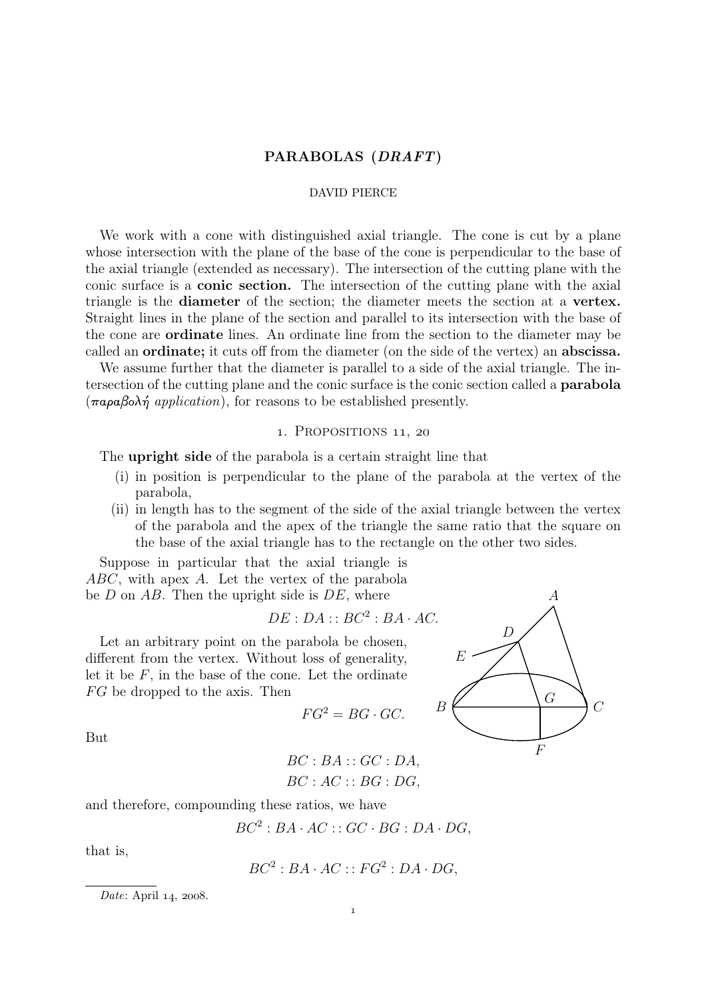## PARABOLAS (DRAFT)

#### DAVID PIERCE

We work with a cone with distinguished axial triangle. The cone is cut by a plane whose intersection with the plane of the base of the cone is perpendicular to the base of the axial triangle (extended as necessary). The intersection of the cutting plane with the conic surface is a conic section. The intersection of the cutting plane with the axial triangle is the diameter of the section; the diameter meets the section at a vertex. Straight lines in the plane of the section and parallel to its intersection with the base of the cone are ordinate lines. An ordinate line from the section to the diameter may be called an ordinate; it cuts off from the diameter (on the side of the vertex) an abscissa.

We assume further that the diameter is parallel to a side of the axial triangle. The intersection of the cutting plane and the conic surface is the conic section called a parabola (παραβολή application), for reasons to be established presently.

#### 1. PROPOSITIONS 11, 20

The **upright side** of the parabola is a certain straight line that

- (i) in position is perpendicular to the plane of the parabola at the vertex of the parabola,
- (ii) in length has to the segment of the side of the axial triangle between the vertex of the parabola and the apex of the triangle the same ratio that the square on the base of the axial triangle has to the rectangle on the other two sides.

Suppose in particular that the axial triangle is ABC, with apex A. Let the vertex of the parabola be  $D$  on  $AB$ . Then the upright side is  $DE$ , where

$$
DE:DA::BC^2:BA\cdot AC.
$$

Let an arbitrary point on the parabola be chosen, different from the vertex. Without loss of generality, let it be  $F$ , in the base of the cone. Let the ordinate FG be dropped to the axis. Then

$$
FG^2 = BG \cdot GC.
$$



But

 $BC : BA :: GC : DA$  $BC: AC::BG: DG$ 

and therefore, compounding these ratios, we have

$$
BC^2: BA \cdot AC :: GC \cdot BG : DA \cdot DG,
$$

that is,

$$
BC^2: BA \cdot AC :: FG^2: DA \cdot DG,
$$

Date: April  $14$ , 2008.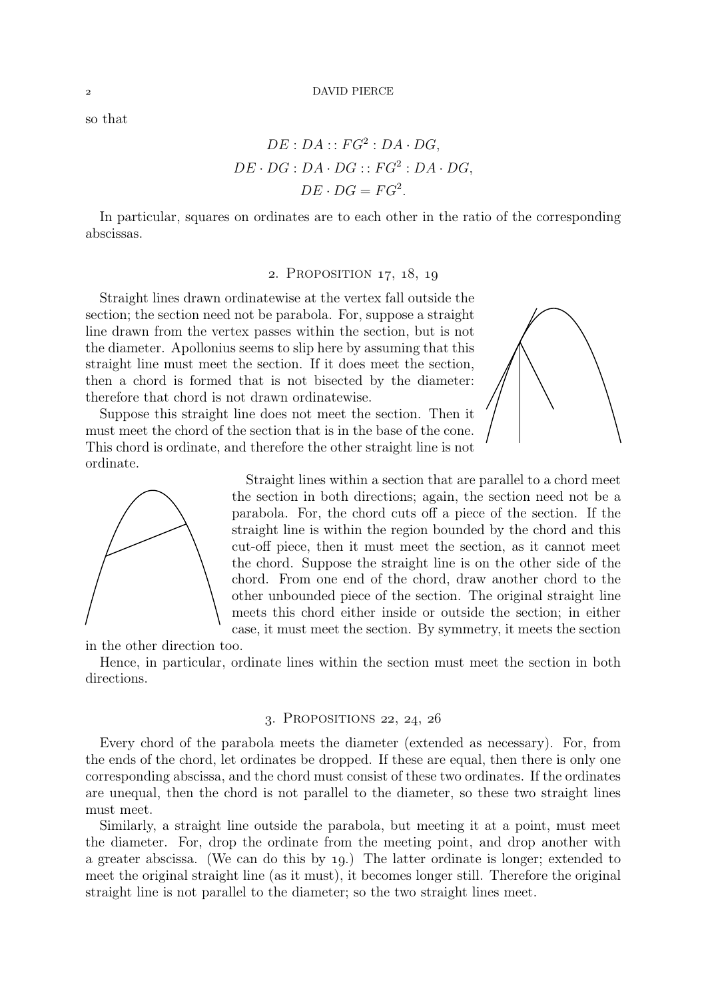so that

$$
DE: DA :: FG^2: DA \cdot DG,
$$
  

$$
DE \cdot DG: DA \cdot DG :: FG^2: DA \cdot DG,
$$
  

$$
DE \cdot DG = FG^2.
$$

In particular, squares on ordinates are to each other in the ratio of the corresponding abscissas.

# 2. PROPOSITION 17, 18, 19

Straight lines drawn ordinatewise at the vertex fall outside the section; the section need not be parabola. For, suppose a straight line drawn from the vertex passes within the section, but is not the diameter. Apollonius seems to slip here by assuming that this straight line must meet the section. If it does meet the section, then a chord is formed that is not bisected by the diameter: therefore that chord is not drawn ordinatewise.

Suppose this straight line does not meet the section. Then it must meet the chord of the section that is in the base of the cone. This chord is ordinate, and therefore the other straight line is not ordinate.





Straight lines within a section that are parallel to a chord meet the section in both directions; again, the section need not be a parabola. For, the chord cuts off a piece of the section. If the straight line is within the region bounded by the chord and this cut-off piece, then it must meet the section, as it cannot meet the chord. Suppose the straight line is on the other side of the chord. From one end of the chord, draw another chord to the other unbounded piece of the section. The original straight line meets this chord either inside or outside the section; in either case, it must meet the section. By symmetry, it meets the section

in the other direction too.

Hence, in particular, ordinate lines within the section must meet the section in both directions.

### 3. PROPOSITIONS  $22, 24, 26$

Every chord of the parabola meets the diameter (extended as necessary). For, from the ends of the chord, let ordinates be dropped. If these are equal, then there is only one corresponding abscissa, and the chord must consist of these two ordinates. If the ordinates are unequal, then the chord is not parallel to the diameter, so these two straight lines must meet.

Similarly, a straight line outside the parabola, but meeting it at a point, must meet the diameter. For, drop the ordinate from the meeting point, and drop another with a greater abscissa. (We can do this by 19.) The latter ordinate is longer; extended to meet the original straight line (as it must), it becomes longer still. Therefore the original straight line is not parallel to the diameter; so the two straight lines meet.